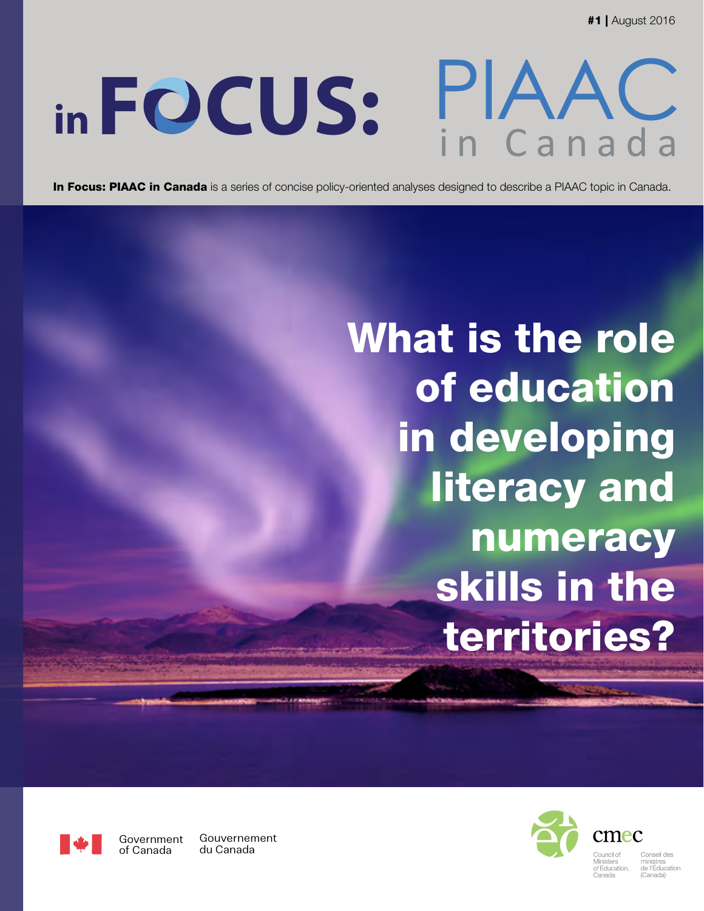#1 | August 2016

# PIAAC **F CUS:** in Canada **in**

In Focus: PIAAC in Canada is a series of concise policy-oriented analyses designed to describe a PIAAC topic in Canada.

What is the role of education in developing literacy and numeracy skills in the territories?



Government of Canada Gouvernement du Canada



...........<br>le l'Éducatior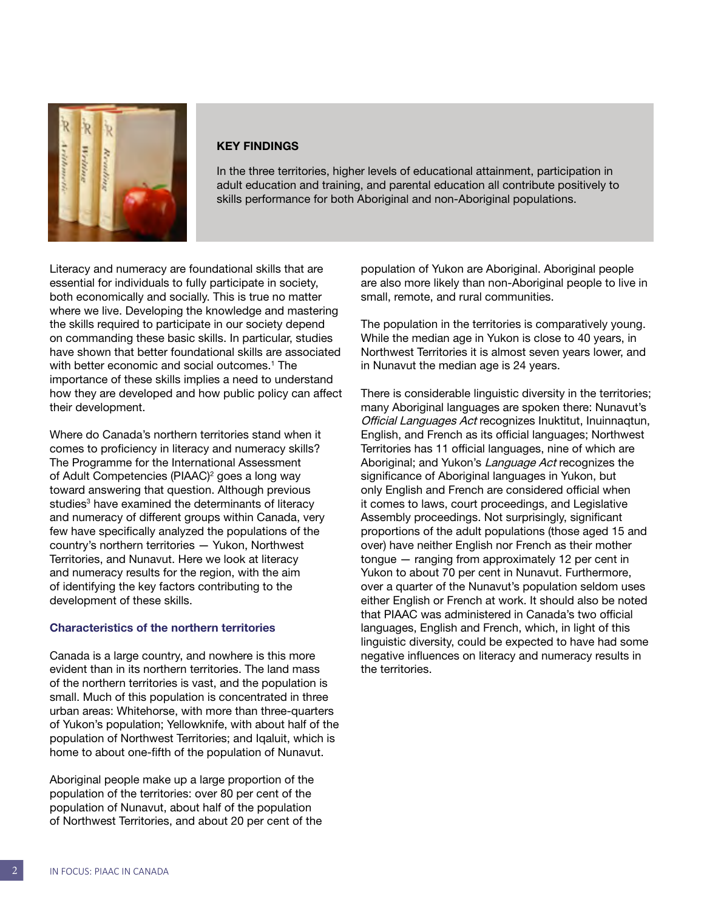

#### KEY FINDINGS

In the three territories, higher levels of educational attainment, participation in adult education and training, and parental education all contribute positively to skills performance for both Aboriginal and non-Aboriginal populations.

Literacy and numeracy are foundational skills that are essential for individuals to fully participate in society, both economically and socially. This is true no matter where we live. Developing the knowledge and mastering the skills required to participate in our society depend on commanding these basic skills. In particular, studies have shown that better foundational skills are associated with better economic and social outcomes.[1](#page-8-0) The importance of these skills implies a need to understand how they are developed and how public policy can affect their development.

Where do Canada's northern territories stand when it comes to proficiency in literacy and numeracy skills? The Programme for the International Assessment of Adult Competencies (PIAAC)<sup>[2](#page-8-0)</sup> goes a long way toward answering that question. Although previous studies<sup>3</sup> have examined the determinants of literacy and numeracy of different groups within Canada, very few have specifically analyzed the populations of the country's northern territories — Yukon, Northwest Territories, and Nunavut. Here we look at literacy and numeracy results for the region, with the aim of identifying the key factors contributing to the development of these skills.

#### Characteristics of the northern territories

Canada is a large country, and nowhere is this more evident than in its northern territories. The land mass of the northern territories is vast, and the population is small. Much of this population is concentrated in three urban areas: Whitehorse, with more than three-quarters of Yukon's population; Yellowknife, with about half of the population of Northwest Territories; and Iqaluit, which is home to about one-fifth of the population of Nunavut.

Aboriginal people make up a large proportion of the population of the territories: over 80 per cent of the population of Nunavut, about half of the population of Northwest Territories, and about 20 per cent of the population of Yukon are Aboriginal. Aboriginal people are also more likely than non-Aboriginal people to live in small, remote, and rural communities.

The population in the territories is comparatively young. While the median age in Yukon is close to 40 years, in Northwest Territories it is almost seven years lower, and in Nunavut the median age is 24 years.

There is considerable linguistic diversity in the territories; many Aboriginal languages are spoken there: Nunavut's Official Languages Act recognizes Inuktitut, Inuinnaqtun, English, and French as its official languages; Northwest Territories has 11 official languages, nine of which are Aboriginal; and Yukon's Language Act recognizes the significance of Aboriginal languages in Yukon, but only English and French are considered official when it comes to laws, court proceedings, and Legislative Assembly proceedings. Not surprisingly, significant proportions of the adult populations (those aged 15 and over) have neither English nor French as their mother tongue — ranging from approximately 12 per cent in Yukon to about 70 per cent in Nunavut. Furthermore, over a quarter of the Nunavut's population seldom uses either English or French at work. It should also be noted that PIAAC was administered in Canada's two official languages, English and French, which, in light of this linguistic diversity, could be expected to have had some negative influences on literacy and numeracy results in the territories.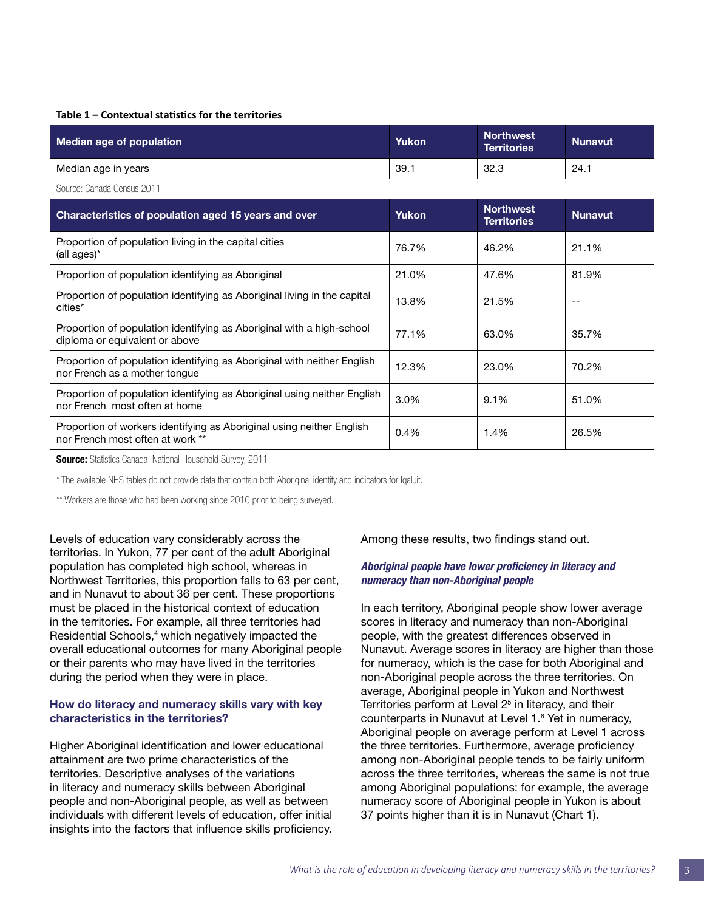#### **Table 1 – Contextual statistics for the territories**

| Median age of population   | Yukon | <b>Northwest</b><br><b>Territories</b> | <b>Nunavut</b> |
|----------------------------|-------|----------------------------------------|----------------|
| Median age in years        | 39.1  | 32.3                                   | 24.1           |
| Source: Canada Census 2011 |       |                                        |                |

| Characteristics of population aged 15 years and over                                                      | <b>Yukon</b> | <b>Northwest</b><br><b>Territories</b> | <b>Nunavut</b> |
|-----------------------------------------------------------------------------------------------------------|--------------|----------------------------------------|----------------|
| Proportion of population living in the capital cities<br>(all ages)*                                      | 76.7%        | 46.2%                                  | 21.1%          |
| Proportion of population identifying as Aboriginal                                                        | 21.0%        | 47.6%                                  | 81.9%          |
| Proportion of population identifying as Aboriginal living in the capital<br>cities*                       | 13.8%        | 21.5%                                  | $-$            |
| Proportion of population identifying as Aboriginal with a high-school<br>diploma or equivalent or above   | 77.1%        | 63.0%                                  | 35.7%          |
| Proportion of population identifying as Aboriginal with neither English<br>nor French as a mother tonque  | 12.3%        | 23.0%                                  | 70.2%          |
| Proportion of population identifying as Aboriginal using neither English<br>nor French most often at home | 3.0%         | 9.1%                                   | 51.0%          |
| Proportion of workers identifying as Aboriginal using neither English<br>nor French most often at work ** | 0.4%         | 1.4%                                   | 26.5%          |

**Source:** Statistics Canada. National Household Survey, 2011.

\* The available NHS tables do not provide data that contain both Aboriginal identity and indicators for Iqaluit.

\*\* Workers are those who had been working since 2010 prior to being surveyed.

Levels of education vary considerably across the territories. In Yukon, 77 per cent of the adult Aboriginal population has completed high school, whereas in Northwest Territories, this proportion falls to 63 per cent, and in Nunavut to about 36 per cent. These proportions must be placed in the historical context of education in the territories. For example, all three territories had Residential Schools,<sup>4</sup> which negatively impacted the overall educational outcomes for many Aboriginal people or their parents who may have lived in the territories during the period when they were in place.

#### How do literacy and numeracy skills vary with key characteristics in the territories?

Higher Aboriginal identification and lower educational attainment are two prime characteristics of the territories. Descriptive analyses of the variations in literacy and numeracy skills between Aboriginal people and non-Aboriginal people, as well as between individuals with different levels of education, offer initial insights into the factors that influence skills proficiency. Among these results, two findings stand out.

#### *Aboriginal people have lower proficiency in literacy and numeracy than non-Aboriginal people*

In each territory, Aboriginal people show lower average scores in literacy and numeracy than non-Aboriginal people, with the greatest differences observed in Nunavut. Average scores in literacy are higher than those for numeracy, which is the case for both Aboriginal and non-Aboriginal people across the three territories. On average, Aboriginal people in Yukon and Northwest Territories perform at Level 2<sup>[5](#page-8-0)</sup> in literacy, and their counterparts in Nunavut at Level 1[.6](#page-8-0) Yet in numeracy, Aboriginal people on average perform at Level 1 across the three territories. Furthermore, average proficiency among non-Aboriginal people tends to be fairly uniform across the three territories, whereas the same is not true among Aboriginal populations: for example, the average numeracy score of Aboriginal people in Yukon is about 37 points higher than it is in Nunavut (Chart 1).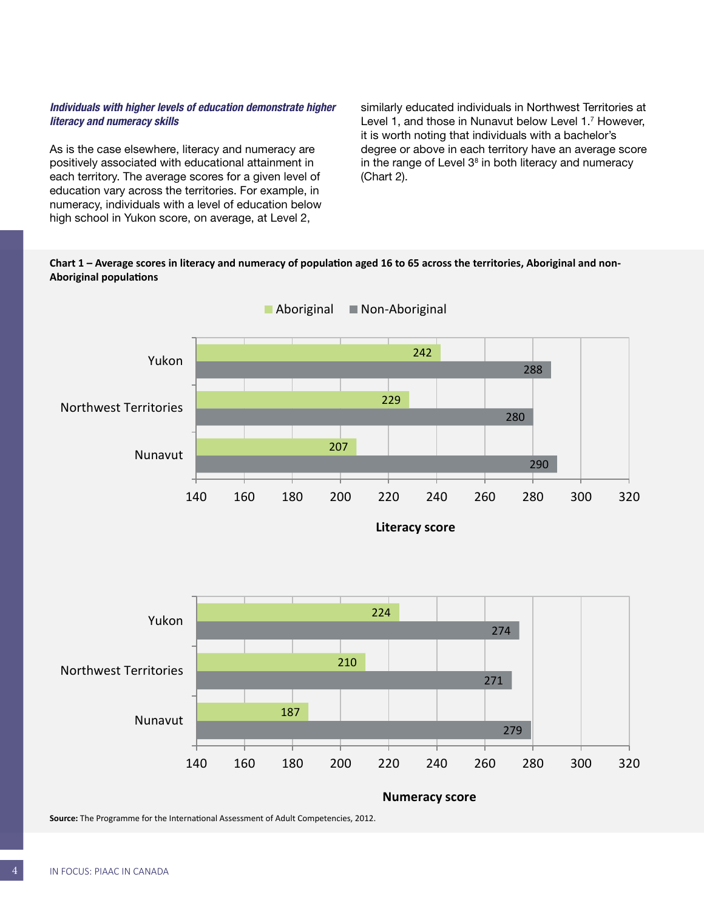#### *Individuals with higher levels of education demonstrate higher literacy and numeracy skills*

As is the case elsewhere, literacy and numeracy are positively associated with educational attainment in each territory. The average scores for a given level of education vary across the territories. For example, in numeracy, individuals with a level of education below high school in Yukon score, on average, at Level 2,

similarly educated individuals in Northwest Territories at Level 1, and those in Nunavut below Level 1.<sup>[7](#page-8-0)</sup> However, it is worth noting that individuals with a bachelor's degree or above in each territory have an average score in the range of Level  $3<sup>8</sup>$  in both literacy and numeracy (Chart 2).

#### **Chart 1 – Average scores in literacy and numeracy of population aged 16 to 65 across the territories, Aboriginal and non-Aboriginal populations**





**Source:** The Programme for the International Assessment of Adult Competencies, 2012.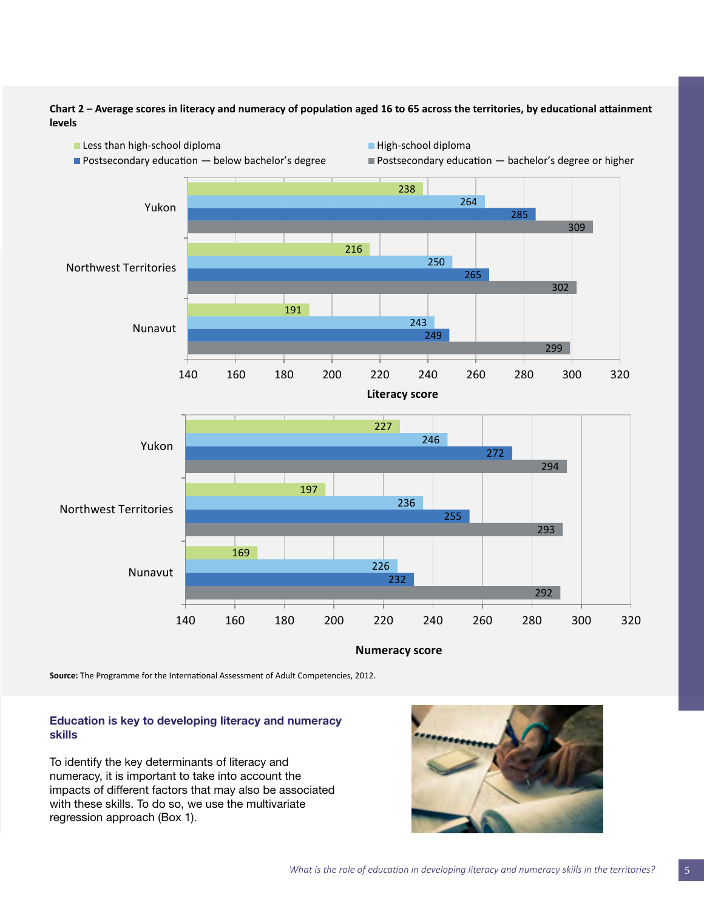**Chart 2 – Average scores in literacy and numeracy of population aged 16 to 65 across the territories, by educational attainment levels**



**Source:** The Programme for the International Assessment of Adult Competencies, 2012.

#### Education is key to developing literacy and numeracy skills

To identify the key determinants of literacy and numeracy, it is important to take into account the impacts of different factors that may also be associated with these skills. To do so, we use the multivariate regression approach (Box 1).

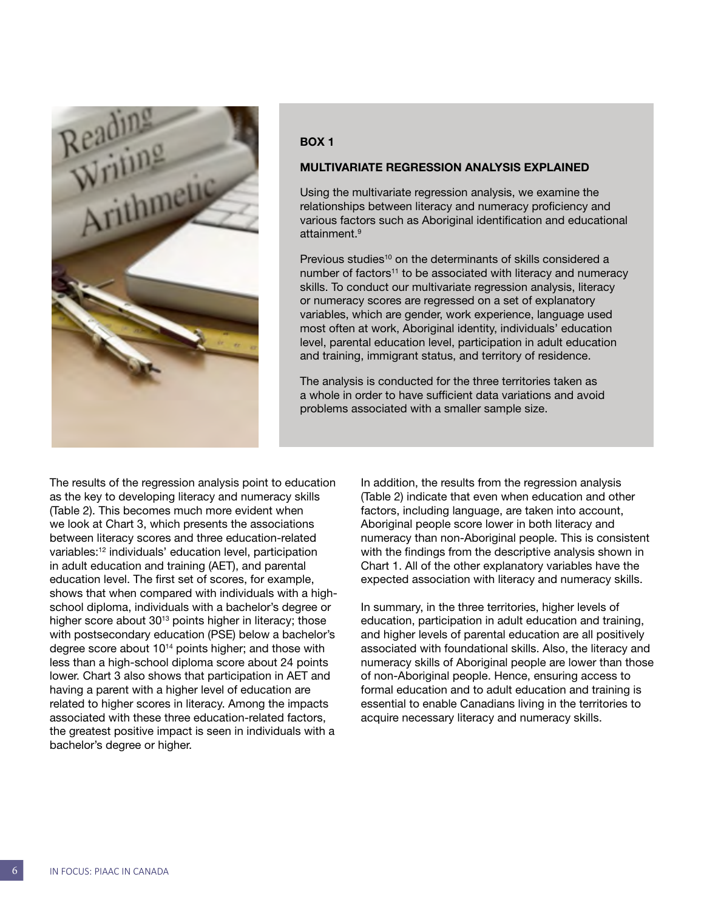

#### BOX 1

#### MULTIVARIATE REGRESSION ANALYSIS EXPLAINED

Using the multivariate regression analysis, we examine the relationships between literacy and numeracy proficiency and various factors such as Aboriginal identification and educational attainment[.9](#page-8-0)

Previous studies<sup>[10](#page-8-0)</sup> on the determinants of skills considered a number of factors<sup>11</sup> to be associated with literacy and numeracy skills. To conduct our multivariate regression analysis, literacy or numeracy scores are regressed on a set of explanatory variables, which are gender, work experience, language used most often at work, Aboriginal identity, individuals' education level, parental education level, participation in adult education and training, immigrant status, and territory of residence.

The analysis is conducted for the three territories taken as a whole in order to have sufficient data variations and avoid problems associated with a smaller sample size.

The results of the regression analysis point to education as the key to developing literacy and numeracy skills (Table 2). This becomes much more evident when we look at Chart 3, which presents the associations between literacy scores and three education-related variables:[12](#page-8-0) individuals' education level, participation in adult education and training (AET), and parental education level. The first set of scores, for example, shows that when compared with individuals with a highschool diploma, individuals with a bachelor's degree or higher score about 30<sup>[13](#page-8-0)</sup> points higher in literacy; those with postsecondary education (PSE) below a bachelor's degree score about 10[14](#page-8-0) points higher; and those with less than a high-school diploma score about 24 points lower. Chart 3 also shows that participation in AET and having a parent with a higher level of education are related to higher scores in literacy. Among the impacts associated with these three education-related factors, the greatest positive impact is seen in individuals with a bachelor's degree or higher.

In addition, the results from the regression analysis (Table 2) indicate that even when education and other factors, including language, are taken into account, Aboriginal people score lower in both literacy and numeracy than non-Aboriginal people. This is consistent with the findings from the descriptive analysis shown in Chart 1. All of the other explanatory variables have the expected association with literacy and numeracy skills.

In summary, in the three territories, higher levels of education, participation in adult education and training, and higher levels of parental education are all positively associated with foundational skills. Also, the literacy and numeracy skills of Aboriginal people are lower than those of non-Aboriginal people. Hence, ensuring access to formal education and to adult education and training is essential to enable Canadians living in the territories to acquire necessary literacy and numeracy skills.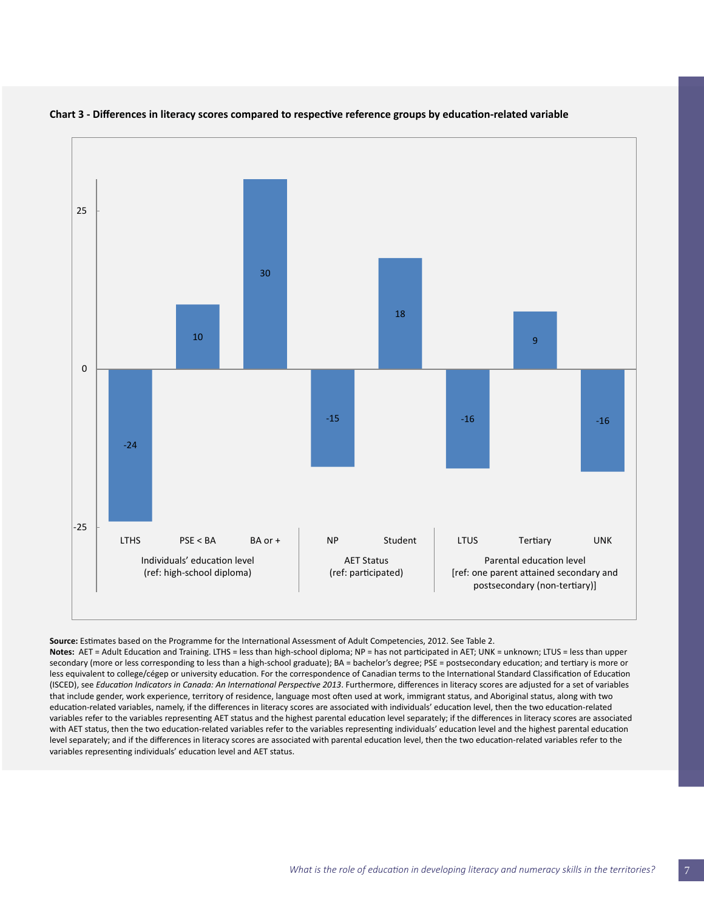

#### **Chart 3 - Differences in literacy scores compared to respective reference groups by education-related variable**

**Source:** Estimates based on the Programme for the International Assessment of Adult Competencies, 2012. See Table 2.

**Notes:** AET = Adult Education and Training. LTHS = less than high-school diploma; NP = has not participated in AET; UNK = unknown; LTUS = less than upper secondary (more or less corresponding to less than a high-school graduate); BA = bachelor's degree; PSE = postsecondary education; and tertiary is more or less equivalent to college/cégep or university education. For the correspondence of Canadian terms to the International Standard Classification of Education (ISCED), see *Education Indicators in Canada: An International Perspective 2013*. Furthermore, differences in literacy scores are adjusted for a set of variables that include gender, work experience, territory of residence, language most often used at work, immigrant status, and Aboriginal status, along with two education-related variables, namely, if the differences in literacy scores are associated with individuals' education level, then the two education-related variables refer to the variables representing AET status and the highest parental education level separately; if the differences in literacy scores are associated with AET status, then the two education-related variables refer to the variables representing individuals' education level and the highest parental education level separately; and if the differences in literacy scores are associated with parental education level, then the two education-related variables refer to the variables representing individuals' education level and AET status.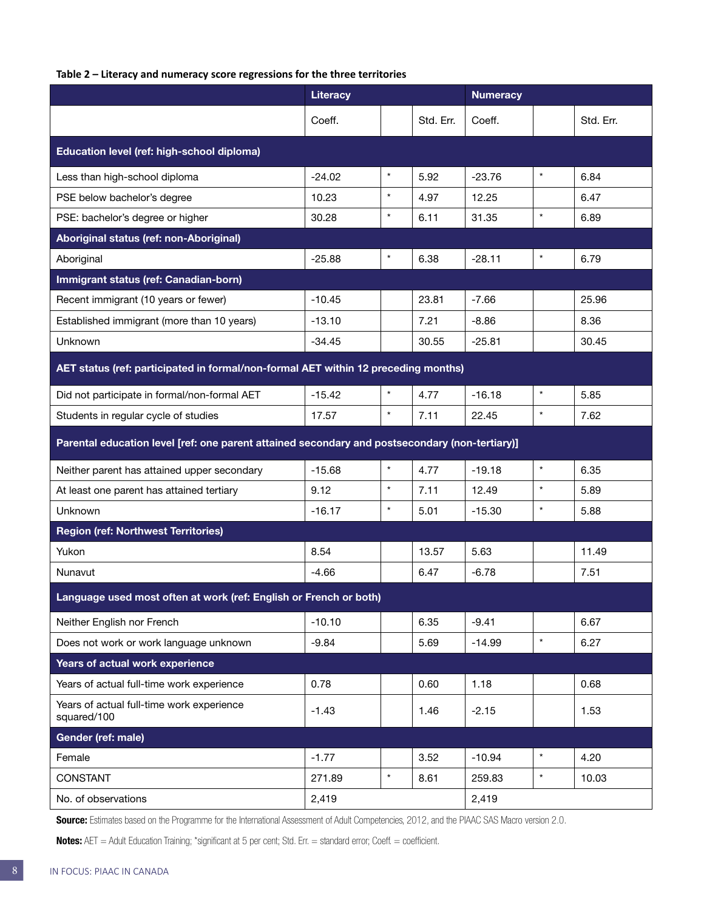#### **Table 2 – Literacy and numeracy score regressions for the three territories**

|                                                                                                | <b>Literacy</b> |         |           | <b>Numeracy</b> |         |           |  |  |
|------------------------------------------------------------------------------------------------|-----------------|---------|-----------|-----------------|---------|-----------|--|--|
|                                                                                                | Coeff.          |         | Std. Err. | Coeff.          |         | Std. Err. |  |  |
| Education level (ref: high-school diploma)                                                     |                 |         |           |                 |         |           |  |  |
| Less than high-school diploma                                                                  | $-24.02$        | $\star$ | 5.92      | $-23.76$        | $\star$ | 6.84      |  |  |
| PSE below bachelor's degree                                                                    | 10.23           | $\star$ | 4.97      | 12.25           |         | 6.47      |  |  |
| PSE: bachelor's degree or higher                                                               | 30.28           | $\star$ | 6.11      | 31.35           | $\star$ | 6.89      |  |  |
| Aboriginal status (ref: non-Aboriginal)                                                        |                 |         |           |                 |         |           |  |  |
| Aboriginal                                                                                     | $-25.88$        | $\star$ | 6.38      | $-28.11$        | $\star$ | 6.79      |  |  |
| Immigrant status (ref: Canadian-born)                                                          |                 |         |           |                 |         |           |  |  |
| Recent immigrant (10 years or fewer)                                                           | $-10.45$        |         | 23.81     | $-7.66$         |         | 25.96     |  |  |
| Established immigrant (more than 10 years)                                                     | $-13.10$        |         | 7.21      | $-8.86$         |         | 8.36      |  |  |
| Unknown                                                                                        | $-34.45$        |         | 30.55     | $-25.81$        |         | 30.45     |  |  |
| AET status (ref: participated in formal/non-formal AET within 12 preceding months)             |                 |         |           |                 |         |           |  |  |
| Did not participate in formal/non-formal AET                                                   | $-15.42$        | $\star$ | 4.77      | $-16.18$        | $\star$ | 5.85      |  |  |
| Students in regular cycle of studies                                                           | 17.57           | $\star$ | 7.11      | 22.45           | $\star$ | 7.62      |  |  |
| Parental education level [ref: one parent attained secondary and postsecondary (non-tertiary)] |                 |         |           |                 |         |           |  |  |
| Neither parent has attained upper secondary                                                    | $-15.68$        | $\star$ | 4.77      | $-19.18$        | $\star$ | 6.35      |  |  |
| At least one parent has attained tertiary                                                      | 9.12            | $\star$ | 7.11      | 12.49           | $\star$ | 5.89      |  |  |
| Unknown                                                                                        | $-16.17$        | $\star$ | 5.01      | $-15.30$        | $\star$ | 5.88      |  |  |
| <b>Region (ref: Northwest Territories)</b>                                                     |                 |         |           |                 |         |           |  |  |
| Yukon                                                                                          | 8.54            |         | 13.57     | 5.63            |         | 11.49     |  |  |
| Nunavut                                                                                        | $-4.66$         |         | 6.47      | $-6.78$         |         | 7.51      |  |  |
| Language used most often at work (ref: English or French or both)                              |                 |         |           |                 |         |           |  |  |
| Neither English nor French                                                                     | $-10.10$        |         | 6.35      | $-9.41$         |         | 6.67      |  |  |
| Does not work or work language unknown                                                         | $-9.84$         |         | 5.69      | $-14.99$        | $\star$ | 6.27      |  |  |
| Years of actual work experience                                                                |                 |         |           |                 |         |           |  |  |
| Years of actual full-time work experience                                                      | 0.78            |         | 0.60      | 1.18            |         | 0.68      |  |  |
| Years of actual full-time work experience<br>squared/100                                       | $-1.43$         |         | 1.46      | $-2.15$         |         | 1.53      |  |  |
| Gender (ref: male)                                                                             |                 |         |           |                 |         |           |  |  |
| Female                                                                                         | $-1.77$         |         | 3.52      | $-10.94$        | $\star$ | 4.20      |  |  |
| CONSTANT                                                                                       | 271.89          | $\star$ | 8.61      | 259.83          | $\star$ | 10.03     |  |  |
| No. of observations                                                                            | 2,419           |         | 2,419     |                 |         |           |  |  |

Source: Estimates based on the Programme for the International Assessment of Adult Competencies, 2012, and the PIAAC SAS Macro version 2.0.

Notes: AET = Adult Education Training; \*significant at 5 per cent; Std. Err. = standard error; Coeff. = coefficient.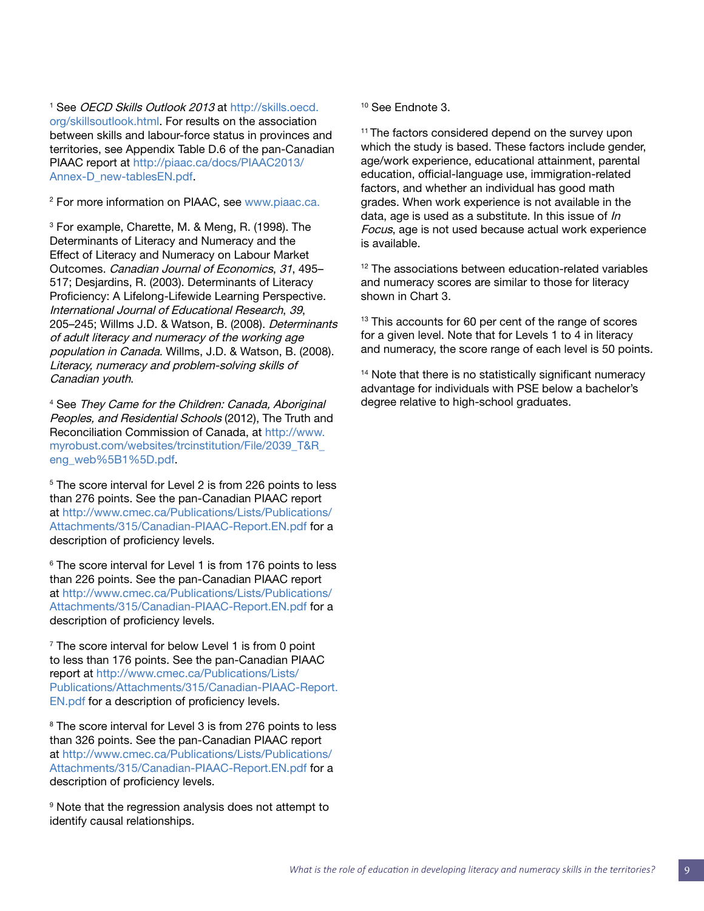<span id="page-8-0"></span><sup>1</sup> See *OECD Skills Outlook 2013* at [http://skills.oecd.](http://skills.oecd.org/skillsoutlook.html) [org/skillsoutlook.html](http://skills.oecd.org/skillsoutlook.html). For results on the association between skills and labour-force status in provinces and territories, see Appendix Table D.6 of the pan-Canadian PIAAC report at [http://piaac.ca/docs/PIAAC2013/](http://piaac.ca/docs/PIAAC2013/Annex-D_new-tablesEN.pdf) [Annex-D\\_new-tablesEN.pdf.](http://piaac.ca/docs/PIAAC2013/Annex-D_new-tablesEN.pdf)

<sup>2</sup> For more information on PIAAC, see [www.piaac.ca.](http://www.piaac.ca)

3 For example, Charette, M. & Meng, R. (1998). The Determinants of Literacy and Numeracy and the Effect of Literacy and Numeracy on Labour Market Outcomes. Canadian Journal of Economics, 31, 495– 517; Desjardins, R. (2003). Determinants of Literacy Proficiency: A Lifelong-Lifewide Learning Perspective. International Journal of Educational Research, 39, 205–245; Willms J.D. & Watson, B. (2008). Determinants of adult literacy and numeracy of the working age population in Canada. Willms, J.D. & Watson, B. (2008). Literacy, numeracy and problem-solving skills of Canadian youth.

4 See They Came for the Children: Canada, Aboriginal Peoples, and Residential Schools (2012), The Truth and Reconciliation Commission of Canada, at http://www. myrobust.com/websites/trcinstitution/File/2039\_T&R\_ eng\_web%5B1%5D.pdf.

<sup>5</sup> The score interval for Level 2 is from 226 points to less than 276 points. See the pan-Canadian PIAAC report at http://www.cmec.ca/Publications/Lists/Publications/ Attachments/315/Canadian-PIAAC-Report.EN.pdf for a description of proficiency levels.

6 The score interval for Level 1 is from 176 points to less than 226 points. See the pan-Canadian PIAAC report at [http://www.cmec.ca/Publications/Lists/Publications/](http://www.cmec.ca/Publications/Lists/Publications/Attachments/315/Canadian-PIAAC-Report.EN.pdf) [Attachments/315/Canadian-PIAAC-Report.EN.pdf](http://www.cmec.ca/Publications/Lists/Publications/Attachments/315/Canadian-PIAAC-Report.EN.pdf) for a description of proficiency levels.

<sup>7</sup> The score interval for below Level 1 is from 0 point to less than 176 points. See the pan-Canadian PIAAC report at http://www.cmec.ca/Publications/Lists/ Publications/Attachments/315/Canadian-PIAAC-Report. EN.pdf for a description of proficiency levels.

<sup>8</sup> The score interval for Level 3 is from 276 points to less than 326 points. See the pan-Canadian PIAAC report at [http://www.cmec.ca/Publications/Lists/Publications/](http://www.cmec.ca/Publications/Lists/Publications/Attachments/315/Canadian-PIAAC-Report.EN.pdf) [Attachments/315/Canadian-PIAAC-Report.EN.pdf](http://www.cmec.ca/Publications/Lists/Publications/Attachments/315/Canadian-PIAAC-Report.EN.pdf) for a description of proficiency levels.

9 Note that the regression analysis does not attempt to identify causal relationships.

10 See Endnote 3.

<sup>11</sup> The factors considered depend on the survey upon which the study is based. These factors include gender, age/work experience, educational attainment, parental education, official-language use, immigration-related factors, and whether an individual has good math grades. When work experience is not available in the data, age is used as a substitute. In this issue of  $ln$ Focus, age is not used because actual work experience is available.

<sup>12</sup> The associations between education-related variables and numeracy scores are similar to those for literacy shown in Chart 3.

<sup>13</sup> This accounts for 60 per cent of the range of scores for a given level. Note that for Levels 1 to 4 in literacy and numeracy, the score range of each level is 50 points.

<sup>14</sup> Note that there is no statistically significant numeracy advantage for individuals with PSE below a bachelor's degree relative to high-school graduates.